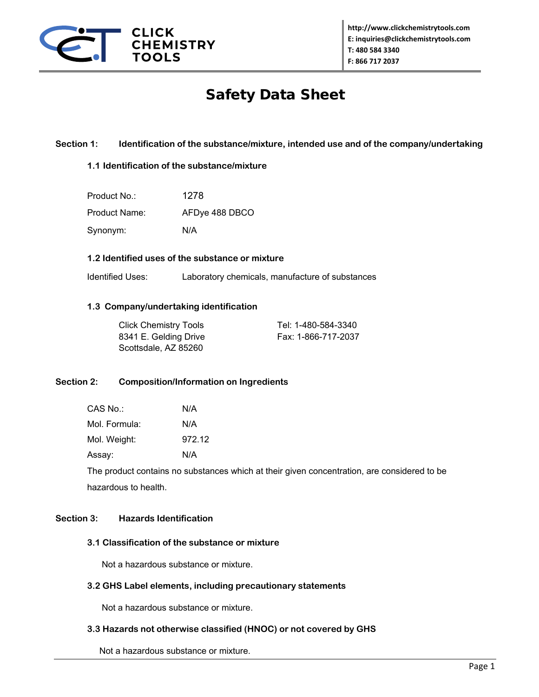

# Safety Data Sheet

# **Section 1: Identification of the substance/mixture, intended use and of the company/undertaking**

# **1.1 Identification of the substance/mixture**

| Product No.:  | 1278           |
|---------------|----------------|
| Product Name: | AFDye 488 DBCO |
| Synonym:      | N/A            |

# **1.2 Identified uses of the substance or mixture**

Identified Uses: Laboratory chemicals, manufacture of substances

# **1.3 Company/undertaking identification**

| Click Chemistry Tools | Tel: 1-480-584-3340 |
|-----------------------|---------------------|
| 8341 E. Gelding Drive | Fax: 1-866-717-2037 |
| Scottsdale, AZ 85260  |                     |

#### **Section 2: Composition/Information on Ingredients**

| CAS No∴       | N/A    |
|---------------|--------|
| Mol. Formula: | N/A    |
| Mol. Weight:  | 972.12 |
| Assay:        | N/A    |

The product contains no substances which at their given concentration, are considered to be hazardous to health.

# **Section 3: Hazards Identification**

# **3.1 Classification of the substance or mixture**

Not a hazardous substance or mixture.

#### **3.2 GHS Label elements, including precautionary statements**

Not a hazardous substance or mixture.

# **3.3 Hazards not otherwise classified (HNOC) or not covered by GHS**

Not a hazardous substance or mixture.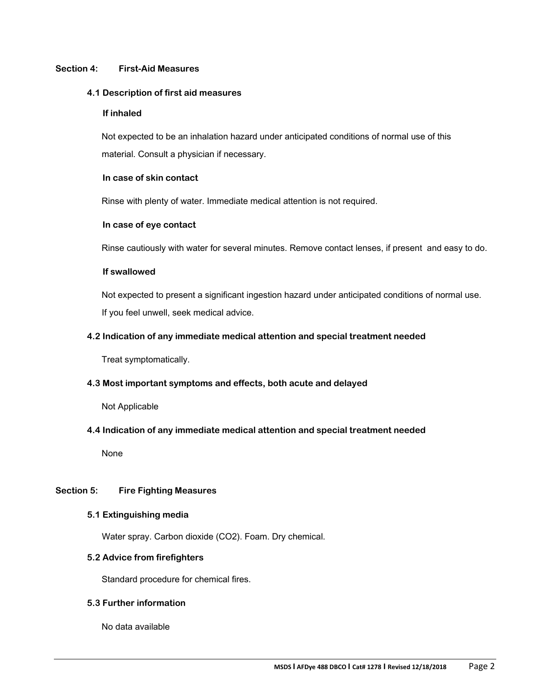# **Section 4: First-Aid Measures**

#### **4.1 Description of first aid measures**

#### **If inhaled**

 Not expected to be an inhalation hazard under anticipated conditions of normal use of this material. Consult a physician if necessary.

#### **In case of skin contact**

Rinse with plenty of water. Immediate medical attention is not required.

# **In case of eye contact**

Rinse cautiously with water for several minutes. Remove contact lenses, if present and easy to do.

# **If swallowed**

 Not expected to present a significant ingestion hazard under anticipated conditions of normal use. If you feel unwell, seek medical advice.

# **4.2 Indication of any immediate medical attention and special treatment needed**

Treat symptomatically.

# **4.3 Most important symptoms and effects, both acute and delayed**

Not Applicable

# **4.4 Indication of any immediate medical attention and special treatment needed**

None

# **Section 5: Fire Fighting Measures**

#### **5.1 Extinguishing media**

Water spray. Carbon dioxide (CO2). Foam. Dry chemical.

#### **5.2 Advice from firefighters**

Standard procedure for chemical fires.

#### **5.3 Further information**

No data available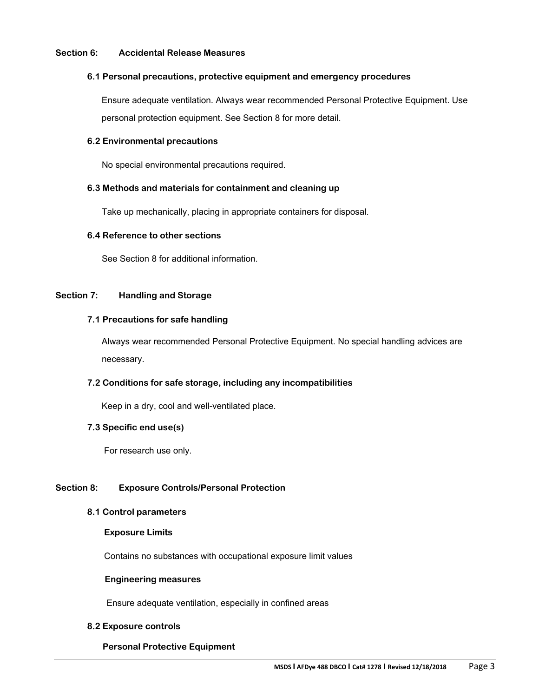#### **Section 6: Accidental Release Measures**

#### **6.1 Personal precautions, protective equipment and emergency procedures**

 Ensure adequate ventilation. Always wear recommended Personal Protective Equipment. Use personal protection equipment. See Section 8 for more detail.

#### **6.2 Environmental precautions**

No special environmental precautions required.

# **6.3 Methods and materials for containment and cleaning up**

Take up mechanically, placing in appropriate containers for disposal.

#### **6.4 Reference to other sections**

See Section 8 for additional information.

# **Section 7: Handling and Storage**

# **7.1 Precautions for safe handling**

 Always wear recommended Personal Protective Equipment. No special handling advices are necessary.

# **7.2 Conditions for safe storage, including any incompatibilities**

Keep in a dry, cool and well-ventilated place.

#### **7.3 Specific end use(s)**

For research use only.

# **Section 8: Exposure Controls/Personal Protection**

#### **8.1 Control parameters**

#### **Exposure Limits**

Contains no substances with occupational exposure limit values

#### **Engineering measures**

Ensure adequate ventilation, especially in confined areas

#### **8.2 Exposure controls**

# **Personal Protective Equipment**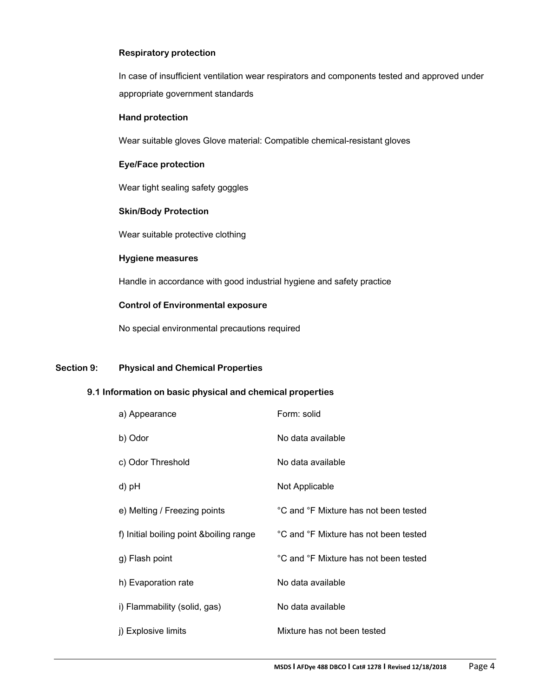# **Respiratory protection**

 In case of insufficient ventilation wear respirators and components tested and approved under appropriate government standards

#### **Hand protection**

Wear suitable gloves Glove material: Compatible chemical-resistant gloves

# **Eye/Face protection**

Wear tight sealing safety goggles

#### **Skin/Body Protection**

Wear suitable protective clothing

#### **Hygiene measures**

Handle in accordance with good industrial hygiene and safety practice

# **Control of Environmental exposure**

No special environmental precautions required

# **Section 9: Physical and Chemical Properties**

# **9.1 Information on basic physical and chemical properties**

| a) Appearance                            | Form: solid                           |
|------------------------------------------|---------------------------------------|
| b) Odor                                  | No data available                     |
| c) Odor Threshold                        | No data available                     |
| d) pH                                    | Not Applicable                        |
| e) Melting / Freezing points             | °C and °F Mixture has not been tested |
| f) Initial boiling point & boiling range | °C and °F Mixture has not been tested |
| g) Flash point                           | °C and °F Mixture has not been tested |
| h) Evaporation rate                      | No data available                     |
| i) Flammability (solid, gas)             | No data available                     |
| j) Explosive limits                      | Mixture has not been tested           |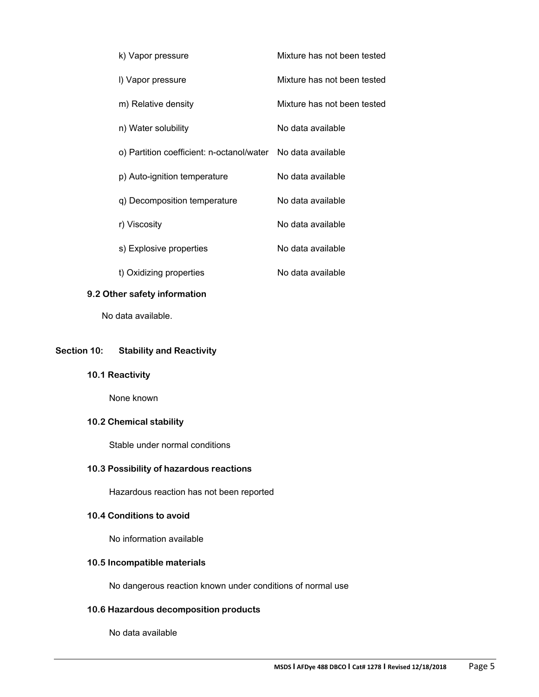| k) Vapor pressure                                           | Mixture has not been tested |
|-------------------------------------------------------------|-----------------------------|
| I) Vapor pressure                                           | Mixture has not been tested |
| m) Relative density                                         | Mixture has not been tested |
| n) Water solubility                                         | No data available           |
| o) Partition coefficient: n-octanol/water No data available |                             |
| p) Auto-ignition temperature                                | No data available           |
| q) Decomposition temperature                                | No data available           |
| r) Viscosity                                                | No data available           |
| s) Explosive properties                                     | No data available           |
| t) Oxidizing properties                                     | No data available           |

# **9.2 Other safety information**

No data available.

# **Section 10: Stability and Reactivity**

**10.1 Reactivity**

None known

# **10.2 Chemical stability**

Stable under normal conditions

# **10.3 Possibility of hazardous reactions**

Hazardous reaction has not been reported

#### **10.4 Conditions to avoid**

No information available

# **10.5 Incompatible materials**

No dangerous reaction known under conditions of normal use

# **10.6 Hazardous decomposition products**

No data available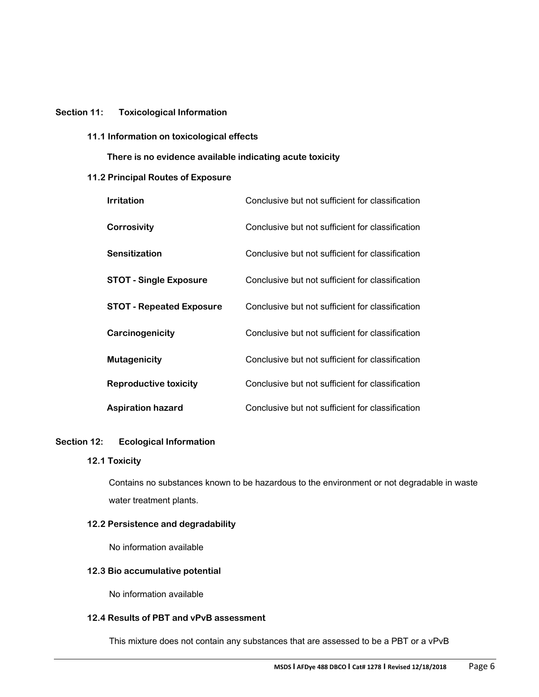#### **Section 11: Toxicological Information**

**11.1 Information on toxicological effects**

 **There is no evidence available indicating acute toxicity**

# **11.2 Principal Routes of Exposure**

| <b>Irritation</b>               | Conclusive but not sufficient for classification |
|---------------------------------|--------------------------------------------------|
| Corrosivity                     | Conclusive but not sufficient for classification |
| <b>Sensitization</b>            | Conclusive but not sufficient for classification |
| <b>STOT - Single Exposure</b>   | Conclusive but not sufficient for classification |
| <b>STOT - Repeated Exposure</b> | Conclusive but not sufficient for classification |
| Carcinogenicity                 | Conclusive but not sufficient for classification |
| <b>Mutagenicity</b>             | Conclusive but not sufficient for classification |
| <b>Reproductive toxicity</b>    | Conclusive but not sufficient for classification |
| <b>Aspiration hazard</b>        | Conclusive but not sufficient for classification |

#### **Section 12: Ecological Information**

# **12.1 Toxicity**

Contains no substances known to be hazardous to the environment or not degradable in waste water treatment plants.

# **12.2 Persistence and degradability**

No information available

# **12.3 Bio accumulative potential**

No information available

# **12.4 Results of PBT and vPvB assessment**

This mixture does not contain any substances that are assessed to be a PBT or a vPvB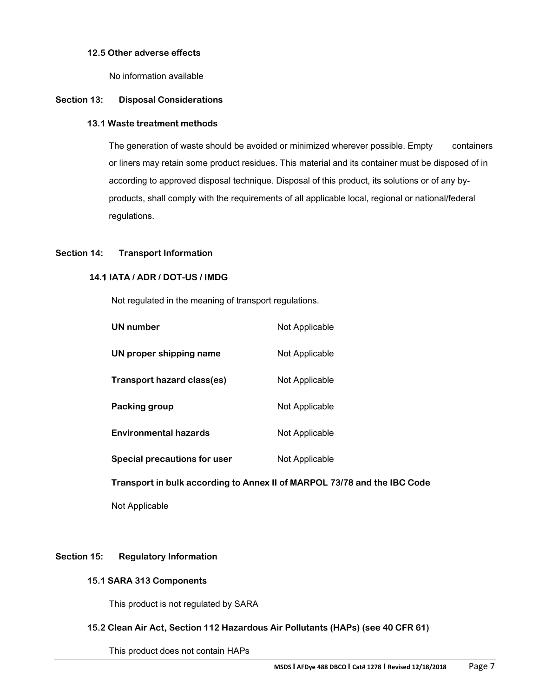# **12.5 Other adverse effects**

No information available

# **Section 13: Disposal Considerations**

#### **13.1 Waste treatment methods**

The generation of waste should be avoided or minimized wherever possible. Empty containers or liners may retain some product residues. This material and its container must be disposed of in according to approved disposal technique. Disposal of this product, its solutions or of any byproducts, shall comply with the requirements of all applicable local, regional or national/federal regulations.

# **Section 14: Transport Information**

# **14.1 IATA / ADR / DOT-US / IMDG**

Not regulated in the meaning of transport regulations.

| <b>UN</b> number             | Not Applicable |
|------------------------------|----------------|
| UN proper shipping name      | Not Applicable |
| Transport hazard class(es)   | Not Applicable |
| Packing group                | Not Applicable |
| <b>Environmental hazards</b> | Not Applicable |
| Special precautions for user | Not Applicable |

 **Transport in bulk according to Annex II of MARPOL 73/78 and the IBC Code**

Not Applicable

# **Section 15: Regulatory Information**

### **15.1 SARA 313 Components**

This product is not regulated by SARA

# **15.2 Clean Air Act, Section 112 Hazardous Air Pollutants (HAPs) (see 40 CFR 61)**

This product does not contain HAPs